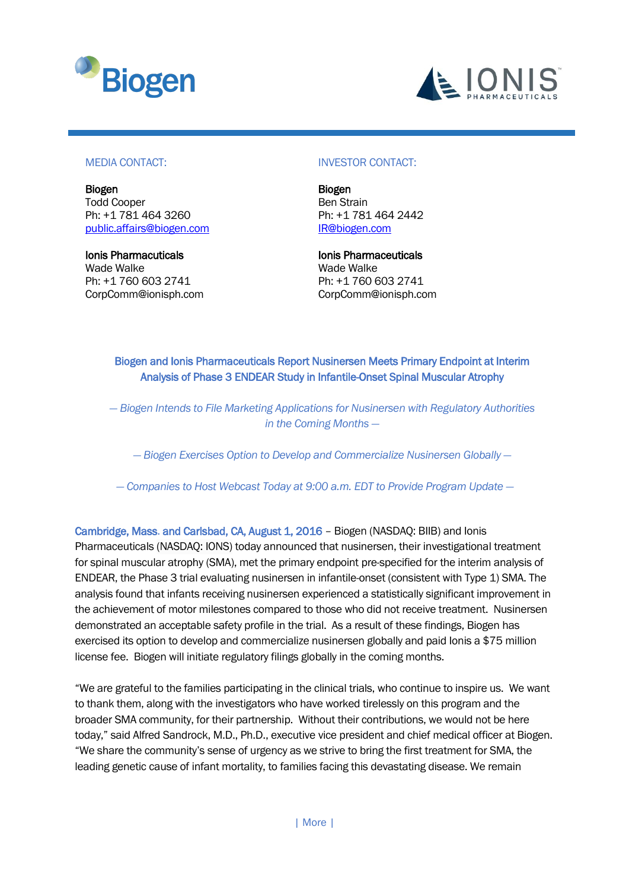



#### MEDIA CONTACT:

Biogen Todd Cooper Ph: +1 781 464 3260 [public.affairs@biogen.com](mailto:public.affairs@biogen.com)

Ionis Pharmacuticals Wade Walke Ph: +1 760 603 2741 CorpComm@ionisph.com

#### INVESTOR CONTACT:

Biogen Ben Strain Ph: +1 781 464 [2442](tel:781-464-2442) [IR@biogen.com](mailto:IR@biogen.com) 

Ionis Pharmaceuticals Wade Walke Ph: +1 760 603 2741 CorpComm@ionisph.com

Biogen and Ionis Pharmaceuticals Report Nusinersen Meets Primary Endpoint at Interim Analysis of Phase 3 ENDEAR Study in Infantile-Onset Spinal Muscular Atrophy

*— Biogen Intends to File Marketing Applications for Nusinersen with Regulatory Authorities in the Coming Months —*

*— Biogen Exercises Option to Develop and Commercialize Nusinersen Globally —*

*— Companies to Host Webcast Today at 9:00 a.m. EDT to Provide Program Update —*

Cambridge, Mass. and Carlsbad, CA, August 1, 2016 – Biogen (NASDAQ: BIIB) and Ionis Pharmaceuticals (NASDAQ: IONS) today announced that nusinersen, their investigational treatment for spinal muscular atrophy (SMA), met the primary endpoint pre-specified for the interim analysis of ENDEAR, the Phase 3 trial evaluating nusinersen in infantile-onset (consistent with Type 1) SMA. The analysis found that infants receiving nusinersen experienced a statistically significant improvement in the achievement of motor milestones compared to those who did not receive treatment. Nusinersen demonstrated an acceptable safety profile in the trial. As a result of these findings, Biogen has exercised its option to develop and commercialize nusinersen globally and paid Ionis a \$75 million license fee. Biogen will initiate regulatory filings globally in the coming months.

"We are grateful to the families participating in the clinical trials, who continue to inspire us. We want to thank them, along with the investigators who have worked tirelessly on this program and the broader SMA community, for their partnership. Without their contributions, we would not be here today," said Alfred Sandrock, M.D., Ph.D., executive vice president and chief medical officer at Biogen. "We share the community's sense of urgency as we strive to bring the first treatment for SMA, the leading genetic cause of infant mortality, to families facing this devastating disease. We remain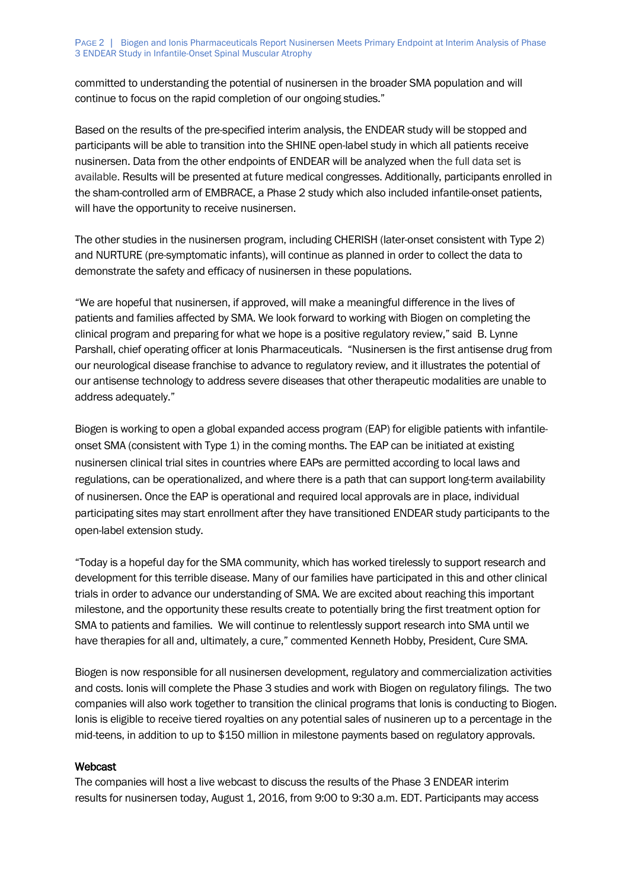committed to understanding the potential of nusinersen in the broader SMA population and will continue to focus on the rapid completion of our ongoing studies."

Based on the results of the pre-specified interim analysis, the ENDEAR study will be stopped and participants will be able to transition into the SHINE open-label study in which all patients receive nusinersen. Data from the other endpoints of ENDEAR will be analyzed when the full data set is available. Results will be presented at future medical congresses. Additionally, participants enrolled in the sham-controlled arm of EMBRACE, a Phase 2 study which also included infantile-onset patients, will have the opportunity to receive nusinersen.

The other studies in the nusinersen program, including CHERISH (later-onset consistent with Type 2) and NURTURE (pre-symptomatic infants), will continue as planned in order to collect the data to demonstrate the safety and efficacy of nusinersen in these populations.

"We are hopeful that nusinersen, if approved, will make a meaningful difference in the lives of patients and families affected by SMA. We look forward to working with Biogen on completing the clinical program and preparing for what we hope is a positive regulatory review," said B. Lynne Parshall, chief operating officer at Ionis Pharmaceuticals. "Nusinersen is the first antisense drug from our neurological disease franchise to advance to regulatory review, and it illustrates the potential of our antisense technology to address severe diseases that other therapeutic modalities are unable to address adequately."

Biogen is working to open a global expanded access program (EAP) for eligible patients with infantileonset SMA (consistent with Type 1) in the coming months. The EAP can be initiated at existing nusinersen clinical trial sites in countries where EAPs are permitted according to local laws and regulations, can be operationalized, and where there is a path that can support long-term availability of nusinersen. Once the EAP is operational and required local approvals are in place, individual participating sites may start enrollment after they have transitioned ENDEAR study participants to the open-label extension study.

"Today is a hopeful day for the SMA community, which has worked tirelessly to support research and development for this terrible disease. Many of our families have participated in this and other clinical trials in order to advance our understanding of SMA. We are excited about reaching this important milestone, and the opportunity these results create to potentially bring the first treatment option for SMA to patients and families. We will continue to relentlessly support research into SMA until we have therapies for all and, ultimately, a cure," commented Kenneth Hobby, President, Cure SMA.

Biogen is now responsible for all nusinersen development, regulatory and commercialization activities and costs. Ionis will complete the Phase 3 studies and work with Biogen on regulatory filings. The two companies will also work together to transition the clinical programs that Ionis is conducting to Biogen. Ionis is eligible to receive tiered royalties on any potential sales of nusineren up to a percentage in the mid-teens, in addition to up to \$150 million in milestone payments based on regulatory approvals.

### Webcast

The companies will host a live webcast to discuss the results of the Phase 3 ENDEAR interim results for nusinersen today, August 1, 2016, from 9:00 to 9:30 a.m. EDT. Participants may access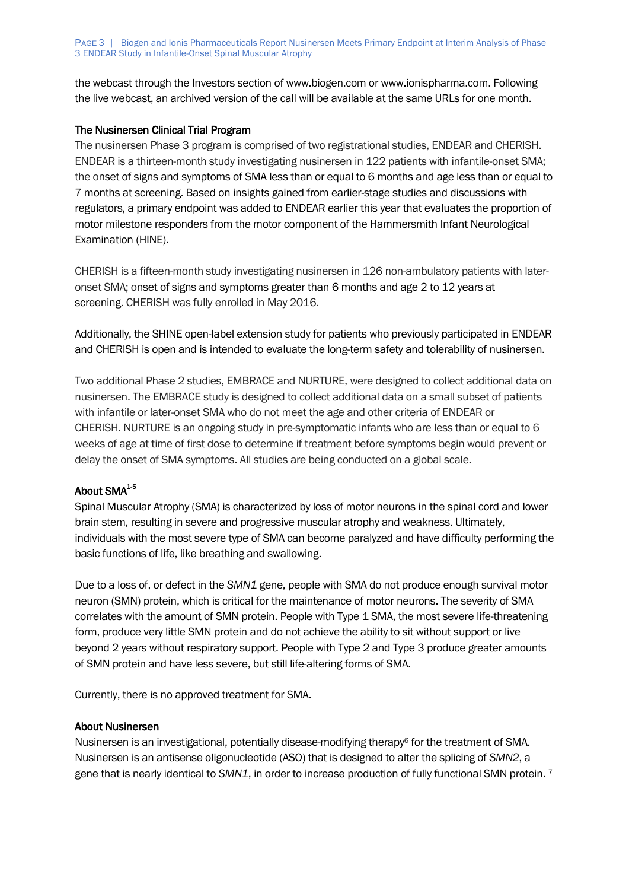the webcast through the Investors section of www.biogen.com or www.ionispharma.com. Following the live webcast, an archived version of the call will be available at the same URLs for one month.

# The Nusinersen Clinical Trial Program

The nusinersen Phase 3 program is comprised of two registrational studies, ENDEAR and CHERISH. ENDEAR is a thirteen-month study investigating nusinersen in 122 patients with infantile-onset SMA; the onset of signs and symptoms of SMA less than or equal to 6 months and age less than or equal to 7 months at screening. Based on insights gained from earlier-stage studies and discussions with regulators, a primary endpoint was added to ENDEAR earlier this year that evaluates the proportion of motor milestone responders from the motor component of the Hammersmith Infant Neurological Examination (HINE).

CHERISH is a fifteen-month study investigating nusinersen in 126 non-ambulatory patients with lateronset SMA; onset of signs and symptoms greater than 6 months and age 2 to 12 years at screening. CHERISH was fully enrolled in May 2016.

Additionally, the SHINE open-label extension study for patients who previously participated in ENDEAR and CHERISH is open and is intended to evaluate the long-term safety and tolerability of nusinersen.

Two additional Phase 2 studies, EMBRACE and NURTURE, were designed to collect additional data on nusinersen. The EMBRACE study is designed to collect additional data on a small subset of patients with infantile or later-onset SMA who do not meet the age and other criteria of ENDEAR or CHERISH. NURTURE is an ongoing study in pre-symptomatic infants who are less than or equal to 6 weeks of age at time of first dose to determine if treatment before symptoms begin would prevent or delay the onset of SMA symptoms. All studies are being conducted on a global scale.

# About SMA**1-5**

Spinal Muscular Atrophy (SMA) is characterized by loss of motor neurons in the spinal cord and lower brain stem, resulting in severe and progressive muscular atrophy and weakness. Ultimately, individuals with the most severe type of SMA can become paralyzed and have difficulty performing the basic functions of life, like breathing and swallowing.

Due to a loss of, or defect in the *SMN1* gene, people with SMA do not produce enough survival motor neuron (SMN) protein, which is critical for the maintenance of motor neurons. The severity of SMA correlates with the amount of SMN protein. People with Type 1 SMA, the most severe life-threatening form, produce very little SMN protein and do not achieve the ability to sit without support or live beyond 2 years without respiratory support. People with Type 2 and Type 3 produce greater amounts of SMN protein and have less severe, but still life-altering forms of SMA.

Currently, there is no approved treatment for SMA.

### About Nusinersen

Nusinersen is an investigational, potentially disease-modifying therapy<sup>6</sup> for the treatment of SMA. Nusinersen is an antisense oligonucleotide (ASO) that is designed to alter the splicing of *SMN2*, a gene that is nearly identical to *SMN1*, in order to increase production of fully functional SMN protein. <sup>7</sup>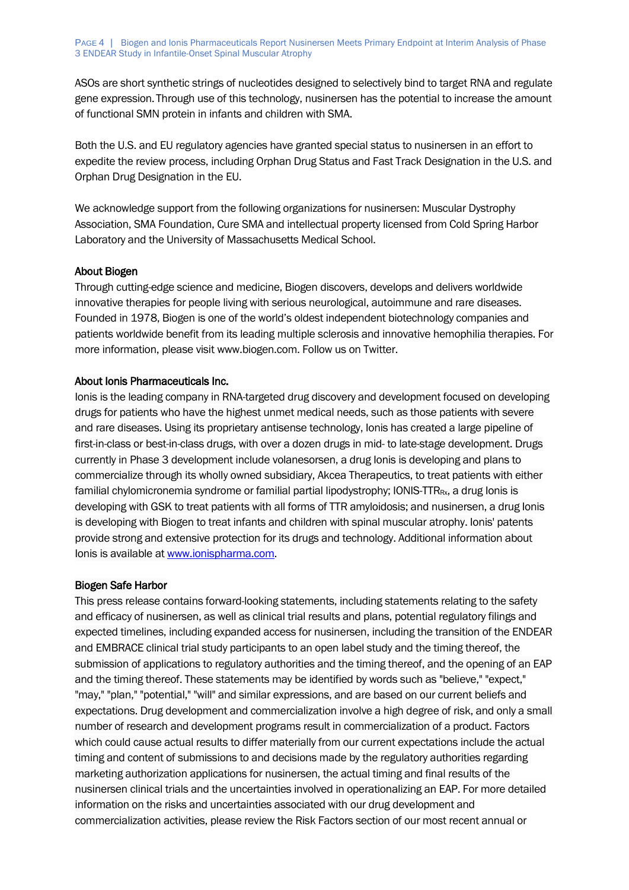ASOs are short synthetic strings of nucleotides designed to selectively bind to target RNA and regulate gene expression.Through use of this technology, nusinersen has the potential to increase the amount of functional SMN protein in infants and children with SMA.

Both the U.S. and EU regulatory agencies have granted special status to nusinersen in an effort to expedite the review process, including Orphan Drug Status and Fast Track Designation in the U.S. and Orphan Drug Designation in the EU.

We acknowledge support from the following organizations for nusinersen: Muscular Dystrophy Association, SMA Foundation, Cure SMA and intellectual property licensed from Cold Spring Harbor Laboratory and the University of Massachusetts Medical School.

# About Biogen

Through cutting-edge science and medicine, Biogen discovers, develops and delivers worldwide innovative therapies for people living with serious neurological, autoimmune and rare diseases. Founded in 1978, Biogen is one of the world's oldest independent biotechnology companies and patients worldwide benefit from its leading multiple sclerosis and innovative hemophilia therapies. For more information, please visit www.biogen.com. Follow us on Twitter.

# About Ionis Pharmaceuticals Inc.

Ionis is the leading company in RNA-targeted drug discovery and development focused on developing drugs for patients who have the highest unmet medical needs, such as those patients with severe and rare diseases. Using its proprietary antisense technology, Ionis has created a large pipeline of first-in-class or best-in-class drugs, with over a dozen drugs in mid- to late-stage development. Drugs currently in Phase 3 development include volanesorsen, a drug Ionis is developing and plans to commercialize through its wholly owned subsidiary, Akcea Therapeutics, to treat patients with either familial chylomicronemia syndrome or familial partial lipodystrophy; IONIS-TTR<sub>Rx</sub>, a drug Ionis is developing with GSK to treat patients with all forms of TTR amyloidosis; and nusinersen, a drug Ionis is developing with Biogen to treat infants and children with spinal muscular atrophy. Ionis' patents provide strong and extensive protection for its drugs and technology. Additional information about Ionis is available at [www.ionispharma.com.](http://www.ionispharma.com/)

# Biogen Safe Harbor

This press release contains forward-looking statements, including statements relating to the safety and efficacy of nusinersen, as well as clinical trial results and plans, potential regulatory filings and expected timelines, including expanded access for nusinersen, including the transition of the ENDEAR and EMBRACE clinical trial study participants to an open label study and the timing thereof, the submission of applications to regulatory authorities and the timing thereof, and the opening of an EAP and the timing thereof. These statements may be identified by words such as "believe," "expect," "may," "plan," "potential," "will" and similar expressions, and are based on our current beliefs and expectations. Drug development and commercialization involve a high degree of risk, and only a small number of research and development programs result in commercialization of a product. Factors which could cause actual results to differ materially from our current expectations include the actual timing and content of submissions to and decisions made by the regulatory authorities regarding marketing authorization applications for nusinersen, the actual timing and final results of the nusinersen clinical trials and the uncertainties involved in operationalizing an EAP. For more detailed information on the risks and uncertainties associated with our drug development and commercialization activities, please review the Risk Factors section of our most recent annual or